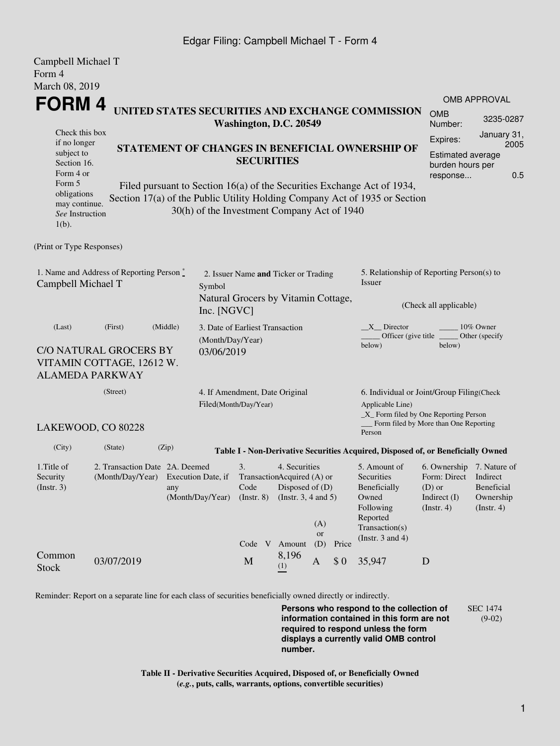## Edgar Filing: Campbell Michael T - Form 4

| Campbell Michael T<br>Form 4                                                                                                                      |                                                                       |                                                                                                                                                                                                                                                                                                        |                                                                                                      |                                                                               |                                                              |                     |       |                                                                                                                         |                                                                                      |                                                                                             |  |
|---------------------------------------------------------------------------------------------------------------------------------------------------|-----------------------------------------------------------------------|--------------------------------------------------------------------------------------------------------------------------------------------------------------------------------------------------------------------------------------------------------------------------------------------------------|------------------------------------------------------------------------------------------------------|-------------------------------------------------------------------------------|--------------------------------------------------------------|---------------------|-------|-------------------------------------------------------------------------------------------------------------------------|--------------------------------------------------------------------------------------|---------------------------------------------------------------------------------------------|--|
| March 08, 2019                                                                                                                                    |                                                                       |                                                                                                                                                                                                                                                                                                        |                                                                                                      |                                                                               |                                                              |                     |       |                                                                                                                         |                                                                                      |                                                                                             |  |
| <b>FORM4</b>                                                                                                                                      |                                                                       |                                                                                                                                                                                                                                                                                                        |                                                                                                      |                                                                               |                                                              | <b>OMB APPROVAL</b> |       |                                                                                                                         |                                                                                      |                                                                                             |  |
|                                                                                                                                                   |                                                                       | UNITED STATES SECURITIES AND EXCHANGE COMMISSION                                                                                                                                                                                                                                                       |                                                                                                      | <b>OMB</b><br>Number:                                                         | 3235-0287                                                    |                     |       |                                                                                                                         |                                                                                      |                                                                                             |  |
| Check this box<br>if no longer<br>subject to<br>Section 16.<br>Form 4 or<br>Form 5<br>obligations<br>may continue.<br>See Instruction<br>$1(b)$ . |                                                                       | Washington, D.C. 20549<br>STATEMENT OF CHANGES IN BENEFICIAL OWNERSHIP OF<br><b>SECURITIES</b><br>Filed pursuant to Section 16(a) of the Securities Exchange Act of 1934,<br>Section 17(a) of the Public Utility Holding Company Act of 1935 or Section<br>30(h) of the Investment Company Act of 1940 |                                                                                                      |                                                                               |                                                              |                     |       |                                                                                                                         |                                                                                      | January 31,<br>Expires:<br>2005<br>Estimated average<br>burden hours per<br>0.5<br>response |  |
| (Print or Type Responses)                                                                                                                         |                                                                       |                                                                                                                                                                                                                                                                                                        |                                                                                                      |                                                                               |                                                              |                     |       |                                                                                                                         |                                                                                      |                                                                                             |  |
| 1. Name and Address of Reporting Person*<br>Campbell Michael T                                                                                    |                                                                       |                                                                                                                                                                                                                                                                                                        | 2. Issuer Name and Ticker or Trading<br>Symbol<br>Natural Grocers by Vitamin Cottage,<br>Inc. [NGVC] |                                                                               |                                                              |                     |       | 5. Relationship of Reporting Person(s) to<br>Issuer<br>(Check all applicable)                                           |                                                                                      |                                                                                             |  |
| (Middle)<br>(First)<br>(Last)<br>(Month/Day/Year)<br>C/O NATURAL GROCERS BY<br>03/06/2019<br>VITAMIN COTTAGE, 12612 W.<br><b>ALAMEDA PARKWAY</b>  |                                                                       |                                                                                                                                                                                                                                                                                                        |                                                                                                      | 3. Date of Earliest Transaction                                               |                                                              |                     |       | $X$ <sub>Director</sub><br>10% Owner<br>Officer (give title)<br>Other (specify<br>below)<br>below)                      |                                                                                      |                                                                                             |  |
| (Street)<br>Filed(Month/Day/Year)                                                                                                                 |                                                                       |                                                                                                                                                                                                                                                                                                        |                                                                                                      | 4. If Amendment, Date Original                                                |                                                              |                     |       | 6. Individual or Joint/Group Filing(Check<br>Applicable Line)<br>$\_X$ Form filed by One Reporting Person               |                                                                                      |                                                                                             |  |
| LAKEWOOD, CO 80228                                                                                                                                |                                                                       |                                                                                                                                                                                                                                                                                                        |                                                                                                      |                                                                               |                                                              |                     |       | Person                                                                                                                  | Form filed by More than One Reporting                                                |                                                                                             |  |
| (City)                                                                                                                                            | (State)                                                               | (Zip)<br>Table I - Non-Derivative Securities Acquired, Disposed of, or Beneficially Owned                                                                                                                                                                                                              |                                                                                                      |                                                                               |                                                              |                     |       |                                                                                                                         |                                                                                      |                                                                                             |  |
| 1. Title of<br>Security<br>(Insert. 3)                                                                                                            | 2. Transaction Date 2A. Deemed<br>(Month/Day/Year) Execution Date, if | any                                                                                                                                                                                                                                                                                                    | (Month/Day/Year)                                                                                     | 3.<br>TransactionAcquired (A) or<br>Code<br>$($ Instr. 8 $)$<br>Code V Amount | 4. Securities<br>Disposed of (D)<br>(Instr. $3, 4$ and $5$ ) | (A)<br>or<br>(D)    | Price | 5. Amount of<br>Securities<br>Beneficially<br>Owned<br>Following<br>Reported<br>Transaction(s)<br>(Instr. $3$ and $4$ ) | 6. Ownership 7. Nature of<br>Form: Direct<br>$(D)$ or<br>Indirect (I)<br>(Insert. 4) | Indirect<br>Beneficial<br>Ownership<br>(Insert. 4)                                          |  |
| Common<br><b>Stock</b>                                                                                                                            | 03/07/2019                                                            |                                                                                                                                                                                                                                                                                                        |                                                                                                      | M                                                                             | 8,196<br>(1)                                                 | $\mathbf{A}$        | \$0   | 35,947                                                                                                                  | D                                                                                    |                                                                                             |  |

Reminder: Report on a separate line for each class of securities beneficially owned directly or indirectly.

**Persons who respond to the collection of information contained in this form are not required to respond unless the form displays a currently valid OMB control number.** SEC 1474 (9-02)

**Table II - Derivative Securities Acquired, Disposed of, or Beneficially Owned (***e.g.***, puts, calls, warrants, options, convertible securities)**